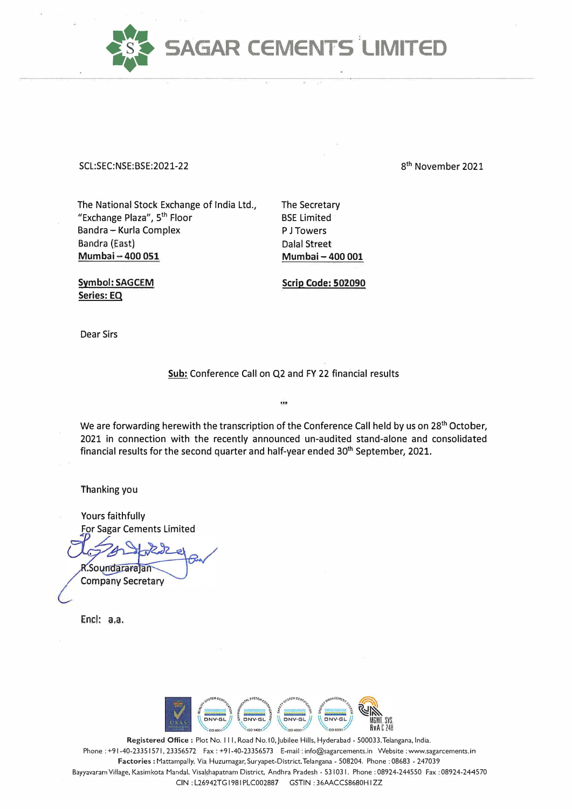

**SCL:SEC:NSE:BSE:2021-22** 

8 th November 2021

The National Stock Exchange of India Ltd., "Exchange Plaza", 5<sup>th</sup> Floor Bandra - Kurla Complex Bandra (East) **Mumbai - 400 051** 

The Secretary BSE Limited P J Towers Dalal Street **Mumbai - 400 001** 

**Symbol: SAGCEM Series: EQ** 

**Scrip eode: 502090** 

Dear Sirs

**Sub:** Conference Call on Q2 and FY 22 financial results

 $\ddot{ }$ 

We are forwarding herewith the transcription of the Conference Call held by us on 28<sup>th</sup> October, 2021 in connection with the recently announced un-audited stand-alone and consolidated financial results for the second quarter and half-year ended 30<sup>th</sup> September, 2021.

Thanking you

Yours faithfully For Sagar Cements Limited

R.Soundararajan

**Company Secretary** 

Encl: a.a.



Registered Office : Plot No. 111, Road No. 10, Jubilee Hills, Hyderabad - 500033, Telangana, India. Phone: +9 l -40-23351571, 23356572 Fax: +91-40-23356573 E-mail: info@sagarcements.in Website: www.sagarcements.in **Factories:** Mattampally. Via Huzurnagar, Suryapet-District,Telangana - 508204. Phone : 08683 - 247039 Bayyavaram Village, Kasimkota Mandal, Visakhapatnam District, Andhra Pradesh - 531031. Phone : 08924-244550 Fax : 08924-244570 CIN : L26942TG 1981 PLC002887 GSTIN : 36AACCS8680H I ZZ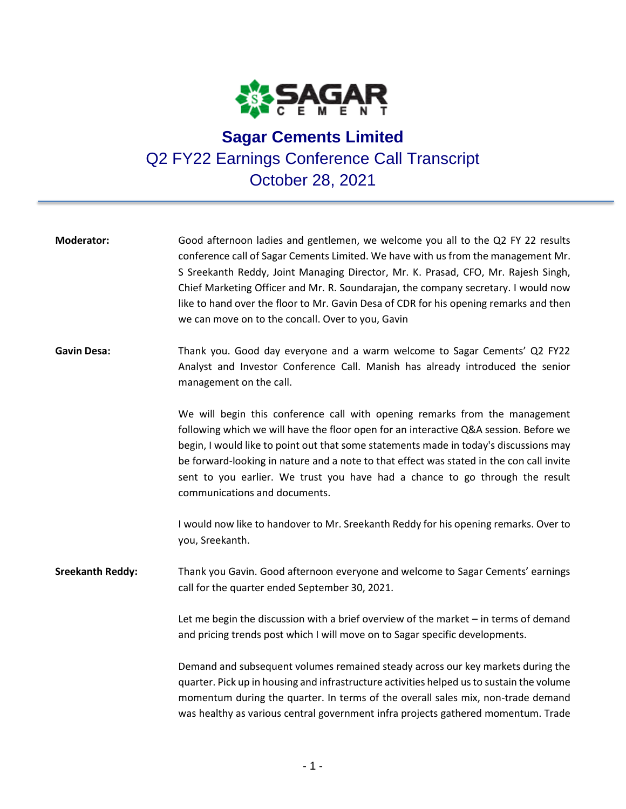

## **Sagar Cements Limited** Q2 FY22 Earnings Conference Call Transcript October 28, 2021

| <b>Moderator:</b>       | Good afternoon ladies and gentlemen, we welcome you all to the Q2 FY 22 results<br>conference call of Sagar Cements Limited. We have with us from the management Mr.<br>S Sreekanth Reddy, Joint Managing Director, Mr. K. Prasad, CFO, Mr. Rajesh Singh,<br>Chief Marketing Officer and Mr. R. Soundarajan, the company secretary. I would now<br>like to hand over the floor to Mr. Gavin Desa of CDR for his opening remarks and then<br>we can move on to the concall. Over to you, Gavin |
|-------------------------|-----------------------------------------------------------------------------------------------------------------------------------------------------------------------------------------------------------------------------------------------------------------------------------------------------------------------------------------------------------------------------------------------------------------------------------------------------------------------------------------------|
| <b>Gavin Desa:</b>      | Thank you. Good day everyone and a warm welcome to Sagar Cements' Q2 FY22<br>Analyst and Investor Conference Call. Manish has already introduced the senior<br>management on the call.                                                                                                                                                                                                                                                                                                        |
|                         | We will begin this conference call with opening remarks from the management<br>following which we will have the floor open for an interactive Q&A session. Before we<br>begin, I would like to point out that some statements made in today's discussions may<br>be forward-looking in nature and a note to that effect was stated in the con call invite<br>sent to you earlier. We trust you have had a chance to go through the result<br>communications and documents.                    |
|                         | I would now like to handover to Mr. Sreekanth Reddy for his opening remarks. Over to<br>you, Sreekanth.                                                                                                                                                                                                                                                                                                                                                                                       |
| <b>Sreekanth Reddy:</b> | Thank you Gavin. Good afternoon everyone and welcome to Sagar Cements' earnings<br>call for the quarter ended September 30, 2021.                                                                                                                                                                                                                                                                                                                                                             |
|                         | Let me begin the discussion with a brief overview of the market - in terms of demand<br>and pricing trends post which I will move on to Sagar specific developments.                                                                                                                                                                                                                                                                                                                          |
|                         | Demand and subsequent volumes remained steady across our key markets during the<br>quarter. Pick up in housing and infrastructure activities helped us to sustain the volume<br>momentum during the quarter. In terms of the overall sales mix, non-trade demand<br>was healthy as various central government infra projects gathered momentum. Trade                                                                                                                                         |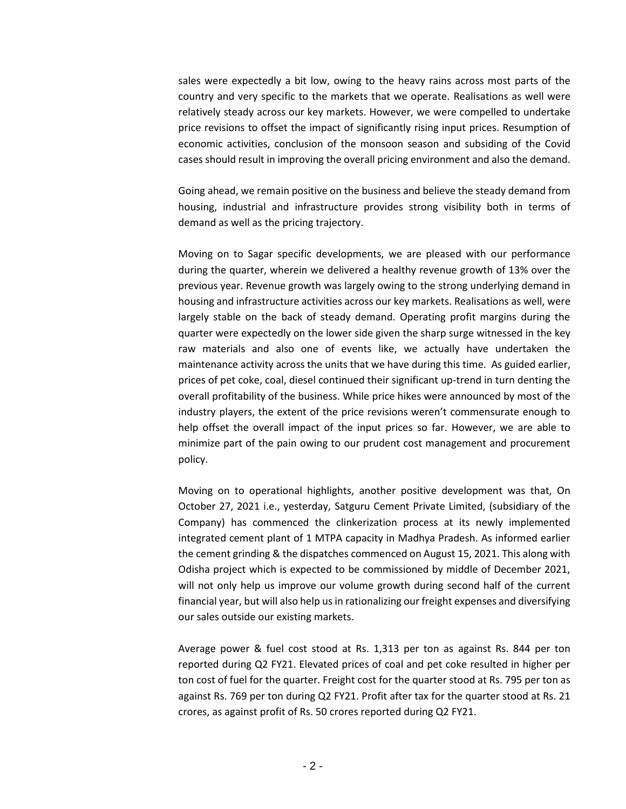sales were expectedly a bit low, owing to the heavy rains across most parts of the country and very specific to the markets that we operate. Realisations as well were relatively steady across our key markets. However, we were compelled to undertake price revisions to offset the impact of significantly rising input prices. Resumption of economic activities, conclusion of the monsoon season and subsiding of the Covid cases should result in improving the overall pricing environment and also the demand.

Going ahead, we remain positive on the business and believe the steady demand from housing, industrial and infrastructure provides strong visibility both in terms of demand as well as the pricing trajectory.

Moving on to Sagar specific developments, we are pleased with our performance during the quarter, wherein we delivered a healthy revenue growth of 13% over the previous year. Revenue growth was largely owing to the strong underlying demand in housing and infrastructure activities across our key markets. Realisations as well, were largely stable on the back of steady demand. Operating profit margins during the quarter were expectedly on the lower side given the sharp surge witnessed in the key raw materials and also one of events like, we actually have undertaken the maintenance activity across the units that we have during this time. As guided earlier, prices of pet coke, coal, diesel continued their significant up-trend in turn denting the overall profitability of the business. While price hikes were announced by most of the industry players, the extent of the price revisions weren't commensurate enough to help offset the overall impact of the input prices so far. However, we are able to minimize part of the pain owing to our prudent cost management and procurement policy.

Moving on to operational highlights, another positive development was that, On October 27, 2021 i.e., yesterday, Satguru Cement Private Limited, (subsidiary of the Company) has commenced the clinkerization process at its newly implemented integrated cement plant of 1 MTPA capacity in Madhya Pradesh. As informed earlier the cement grinding & the dispatches commenced on August 15, 2021. This along with Odisha project which is expected to be commissioned by middle of December 2021, will not only help us improve our volume growth during second half of the current financial year, but will also help us in rationalizing our freight expenses and diversifying our sales outside our existing markets.

Average power & fuel cost stood at Rs. 1,313 per ton as against Rs. 844 per ton reported during Q2 FY21. Elevated prices of coal and pet coke resulted in higher per ton cost of fuel for the quarter. Freight cost for the quarter stood at Rs. 795 per ton as against Rs. 769 per ton during Q2 FY21. Profit after tax for the quarter stood at Rs. 21 crores, as against profit of Rs. 50 crores reported during Q2 FY21.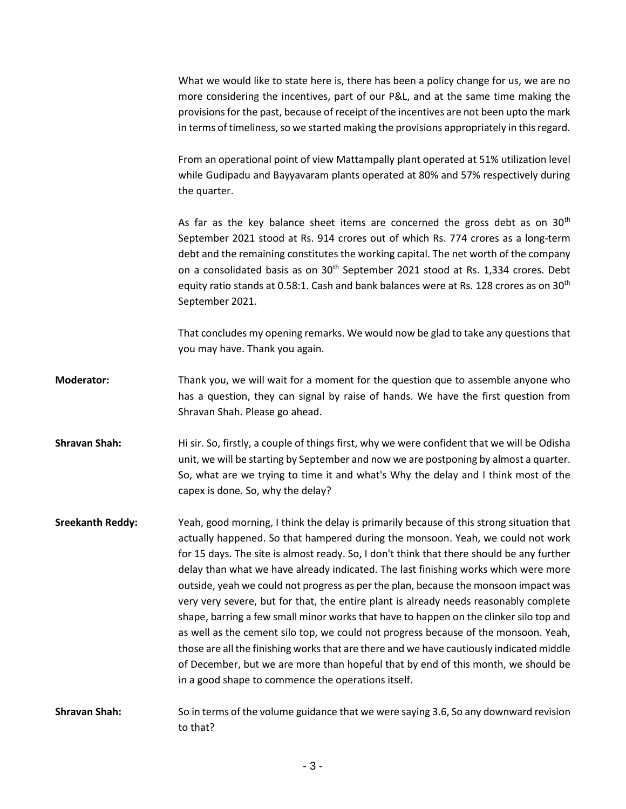What we would like to state here is, there has been a policy change for us, we are no more considering the incentives, part of our P&L, and at the same time making the provisions for the past, because of receipt of the incentives are not been upto the mark in terms of timeliness, so we started making the provisions appropriately in this regard.

From an operational point of view Mattampally plant operated at 51% utilization level while Gudipadu and Bayyavaram plants operated at 80% and 57% respectively during the quarter.

As far as the key balance sheet items are concerned the gross debt as on  $30<sup>th</sup>$ September 2021 stood at Rs. 914 crores out of which Rs. 774 crores as a long-term debt and the remaining constitutes the working capital. The net worth of the company on a consolidated basis as on  $30<sup>th</sup>$  September 2021 stood at Rs. 1,334 crores. Debt equity ratio stands at 0.58:1. Cash and bank balances were at Rs. 128 crores as on 30<sup>th</sup> September 2021.

That concludes my opening remarks. We would now be glad to take any questions that you may have. Thank you again.

- **Moderator:** Thank you, we will wait for a moment for the question que to assemble anyone who has a question, they can signal by raise of hands. We have the first question from Shravan Shah. Please go ahead.
- **Shravan Shah:** Hi sir. So, firstly, a couple of things first, why we were confident that we will be Odisha unit, we will be starting by September and now we are postponing by almost a quarter. So, what are we trying to time it and what's Why the delay and I think most of the capex is done. So, why the delay?
- **Sreekanth Reddy:** Yeah, good morning, I think the delay is primarily because of this strong situation that actually happened. So that hampered during the monsoon. Yeah, we could not work for 15 days. The site is almost ready. So, I don't think that there should be any further delay than what we have already indicated. The last finishing works which were more outside, yeah we could not progress as per the plan, because the monsoon impact was very very severe, but for that, the entire plant is already needs reasonably complete shape, barring a few small minor works that have to happen on the clinker silo top and as well as the cement silo top, we could not progress because of the monsoon. Yeah, those are all the finishing works that are there and we have cautiously indicated middle of December, but we are more than hopeful that by end of this month, we should be in a good shape to commence the operations itself.
- **Shravan Shah:** So in terms of the volume guidance that we were saying 3.6, So any downward revision to that?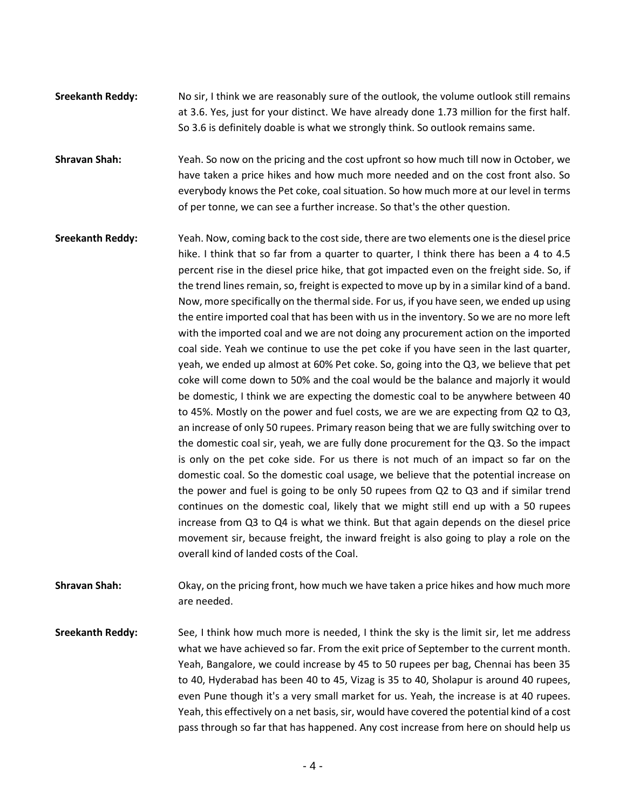**Sreekanth Reddy:** No sir, I think we are reasonably sure of the outlook, the volume outlook still remains at 3.6. Yes, just for your distinct. We have already done 1.73 million for the first half. So 3.6 is definitely doable is what we strongly think. So outlook remains same.

**Shravan Shah:** Yeah. So now on the pricing and the cost upfront so how much till now in October, we have taken a price hikes and how much more needed and on the cost front also. So everybody knows the Pet coke, coal situation. So how much more at our level in terms of per tonne, we can see a further increase. So that's the other question.

- **Sreekanth Reddy:** Yeah. Now, coming back to the cost side, there are two elements one is the diesel price hike. I think that so far from a quarter to quarter, I think there has been a 4 to 4.5 percent rise in the diesel price hike, that got impacted even on the freight side. So, if the trend lines remain, so, freight is expected to move up by in a similar kind of a band. Now, more specifically on the thermal side. For us, if you have seen, we ended up using the entire imported coal that has been with us in the inventory. So we are no more left with the imported coal and we are not doing any procurement action on the imported coal side. Yeah we continue to use the pet coke if you have seen in the last quarter, yeah, we ended up almost at 60% Pet coke. So, going into the Q3, we believe that pet coke will come down to 50% and the coal would be the balance and majorly it would be domestic, I think we are expecting the domestic coal to be anywhere between 40 to 45%. Mostly on the power and fuel costs, we are we are expecting from Q2 to Q3, an increase of only 50 rupees. Primary reason being that we are fully switching over to the domestic coal sir, yeah, we are fully done procurement for the Q3. So the impact is only on the pet coke side. For us there is not much of an impact so far on the domestic coal. So the domestic coal usage, we believe that the potential increase on the power and fuel is going to be only 50 rupees from Q2 to Q3 and if similar trend continues on the domestic coal, likely that we might still end up with a 50 rupees increase from Q3 to Q4 is what we think. But that again depends on the diesel price movement sir, because freight, the inward freight is also going to play a role on the overall kind of landed costs of the Coal.
- **Shravan Shah:** Okay, on the pricing front, how much we have taken a price hikes and how much more are needed.
- **Sreekanth Reddy:** See, I think how much more is needed, I think the sky is the limit sir, let me address what we have achieved so far. From the exit price of September to the current month. Yeah, Bangalore, we could increase by 45 to 50 rupees per bag, Chennai has been 35 to 40, Hyderabad has been 40 to 45, Vizag is 35 to 40, Sholapur is around 40 rupees, even Pune though it's a very small market for us. Yeah, the increase is at 40 rupees. Yeah, this effectively on a net basis, sir, would have covered the potential kind of a cost pass through so far that has happened. Any cost increase from here on should help us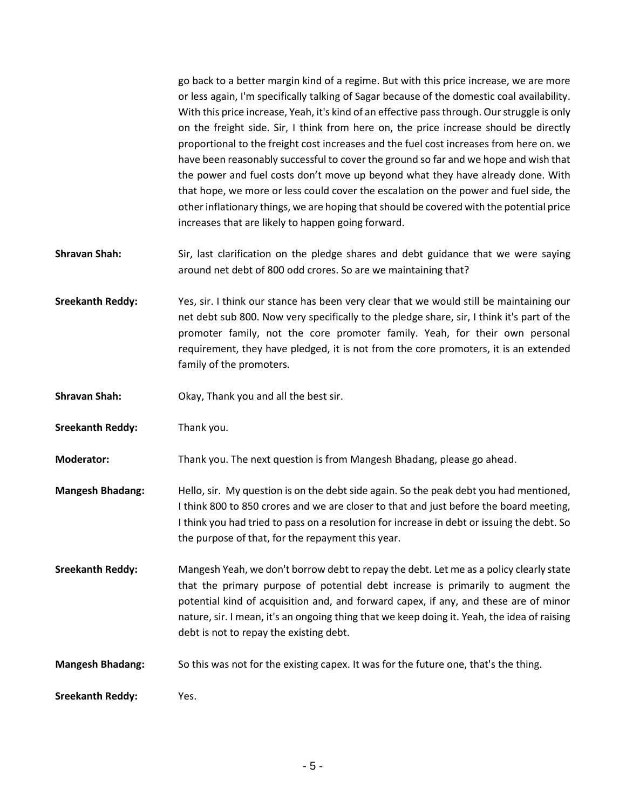go back to a better margin kind of a regime. But with this price increase, we are more or less again, I'm specifically talking of Sagar because of the domestic coal availability. With this price increase, Yeah, it's kind of an effective pass through. Our struggle is only on the freight side. Sir, I think from here on, the price increase should be directly proportional to the freight cost increases and the fuel cost increases from here on. we have been reasonably successful to cover the ground so far and we hope and wish that the power and fuel costs don't move up beyond what they have already done. With that hope, we more or less could cover the escalation on the power and fuel side, the other inflationary things, we are hoping that should be covered with the potential price increases that are likely to happen going forward.

**Shravan Shah:** Sir, last clarification on the pledge shares and debt guidance that we were saying around net debt of 800 odd crores. So are we maintaining that?

**Sreekanth Reddy:** Yes, sir. I think our stance has been very clear that we would still be maintaining our net debt sub 800. Now very specifically to the pledge share, sir, I think it's part of the promoter family, not the core promoter family. Yeah, for their own personal requirement, they have pledged, it is not from the core promoters, it is an extended family of the promoters.

- **Shravan Shah:** Okay, Thank you and all the best sir.
- **Sreekanth Reddy:** Thank you.

**Moderator:** Thank you. The next question is from Mangesh Bhadang, please go ahead.

**Mangesh Bhadang:** Hello, sir. My question is on the debt side again. So the peak debt you had mentioned, I think 800 to 850 crores and we are closer to that and just before the board meeting, I think you had tried to pass on a resolution for increase in debt or issuing the debt. So the purpose of that, for the repayment this year.

**Sreekanth Reddy:** Mangesh Yeah, we don't borrow debt to repay the debt. Let me as a policy clearly state that the primary purpose of potential debt increase is primarily to augment the potential kind of acquisition and, and forward capex, if any, and these are of minor nature, sir. I mean, it's an ongoing thing that we keep doing it. Yeah, the idea of raising debt is not to repay the existing debt.

**Mangesh Bhadang:** So this was not for the existing capex. It was for the future one, that's the thing.

**Sreekanth Reddy:** Yes.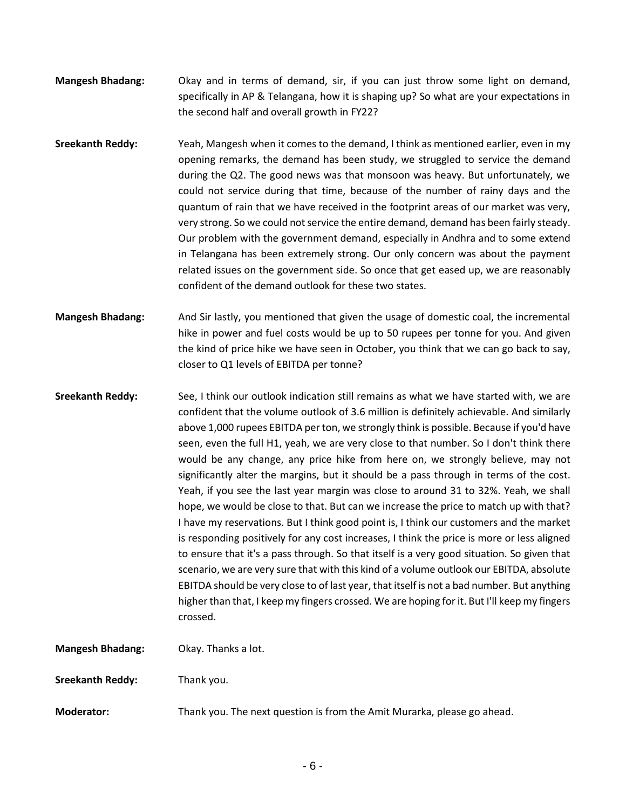- **Mangesh Bhadang:** Okay and in terms of demand, sir, if you can just throw some light on demand, specifically in AP & Telangana, how it is shaping up? So what are your expectations in the second half and overall growth in FY22?
- **Sreekanth Reddy:** Yeah, Mangesh when it comes to the demand, I think as mentioned earlier, even in my opening remarks, the demand has been study, we struggled to service the demand during the Q2. The good news was that monsoon was heavy. But unfortunately, we could not service during that time, because of the number of rainy days and the quantum of rain that we have received in the footprint areas of our market was very, very strong. So we could not service the entire demand, demand has been fairly steady. Our problem with the government demand, especially in Andhra and to some extend in Telangana has been extremely strong. Our only concern was about the payment related issues on the government side. So once that get eased up, we are reasonably confident of the demand outlook for these two states.
- **Mangesh Bhadang:** And Sir lastly, you mentioned that given the usage of domestic coal, the incremental hike in power and fuel costs would be up to 50 rupees per tonne for you. And given the kind of price hike we have seen in October, you think that we can go back to say, closer to Q1 levels of EBITDA per tonne?
- **Sreekanth Reddy:** See, I think our outlook indication still remains as what we have started with, we are confident that the volume outlook of 3.6 million is definitely achievable. And similarly above 1,000 rupees EBITDA per ton, we strongly think is possible. Because if you'd have seen, even the full H1, yeah, we are very close to that number. So I don't think there would be any change, any price hike from here on, we strongly believe, may not significantly alter the margins, but it should be a pass through in terms of the cost. Yeah, if you see the last year margin was close to around 31 to 32%. Yeah, we shall hope, we would be close to that. But can we increase the price to match up with that? I have my reservations. But I think good point is, I think our customers and the market is responding positively for any cost increases, I think the price is more or less aligned to ensure that it's a pass through. So that itself is a very good situation. So given that scenario, we are very sure that with this kind of a volume outlook our EBITDA, absolute EBITDA should be very close to of last year, that itself is not a bad number. But anything higher than that, I keep my fingers crossed. We are hoping for it. But I'll keep my fingers crossed.

**Mangesh Bhadang:** Okay. Thanks a lot.

**Sreekanth Reddy:** Thank you.

**Moderator:** Thank you. The next question is from the Amit Murarka, please go ahead.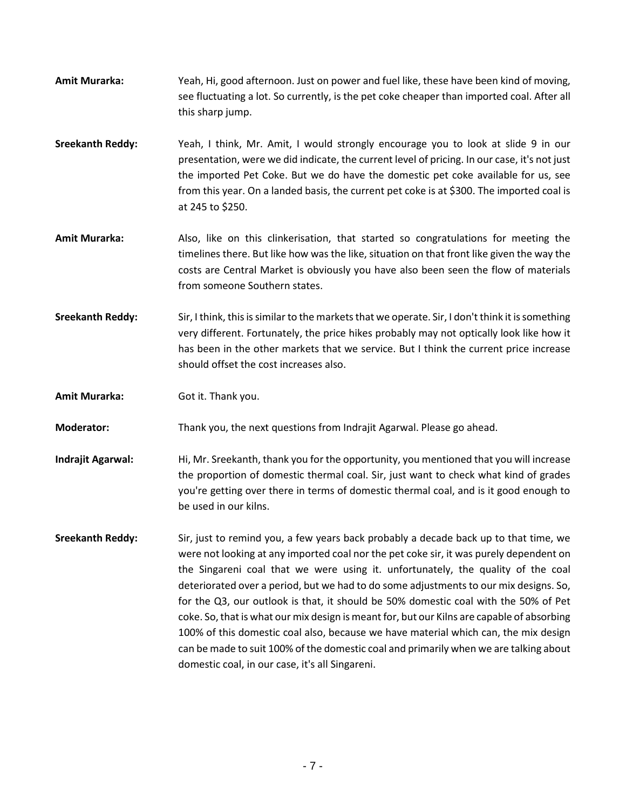- **Amit Murarka:** Yeah, Hi, good afternoon. Just on power and fuel like, these have been kind of moving, see fluctuating a lot. So currently, is the pet coke cheaper than imported coal. After all this sharp jump.
- **Sreekanth Reddy:** Yeah, I think, Mr. Amit, I would strongly encourage you to look at slide 9 in our presentation, were we did indicate, the current level of pricing. In our case, it's not just the imported Pet Coke. But we do have the domestic pet coke available for us, see from this year. On a landed basis, the current pet coke is at \$300. The imported coal is at 245 to \$250.
- **Amit Murarka:** Also, like on this clinkerisation, that started so congratulations for meeting the timelines there. But like how was the like, situation on that front like given the way the costs are Central Market is obviously you have also been seen the flow of materials from someone Southern states.
- **Sreekanth Reddy:** Sir, I think, this is similar to the markets that we operate. Sir, I don't think it is something very different. Fortunately, the price hikes probably may not optically look like how it has been in the other markets that we service. But I think the current price increase should offset the cost increases also.

**Amit Murarka:** Got it. Thank you.

**Moderator:** Thank you, the next questions from Indrajit Agarwal. Please go ahead.

**Indrajit Agarwal:** Hi, Mr. Sreekanth, thank you for the opportunity, you mentioned that you will increase the proportion of domestic thermal coal. Sir, just want to check what kind of grades you're getting over there in terms of domestic thermal coal, and is it good enough to be used in our kilns.

**Sreekanth Reddy:** Sir, just to remind you, a few years back probably a decade back up to that time, we were not looking at any imported coal nor the pet coke sir, it was purely dependent on the Singareni coal that we were using it. unfortunately, the quality of the coal deteriorated over a period, but we had to do some adjustments to our mix designs. So, for the Q3, our outlook is that, it should be 50% domestic coal with the 50% of Pet coke. So, that is what our mix design is meant for, but our Kilns are capable of absorbing 100% of this domestic coal also, because we have material which can, the mix design can be made to suit 100% of the domestic coal and primarily when we are talking about domestic coal, in our case, it's all Singareni.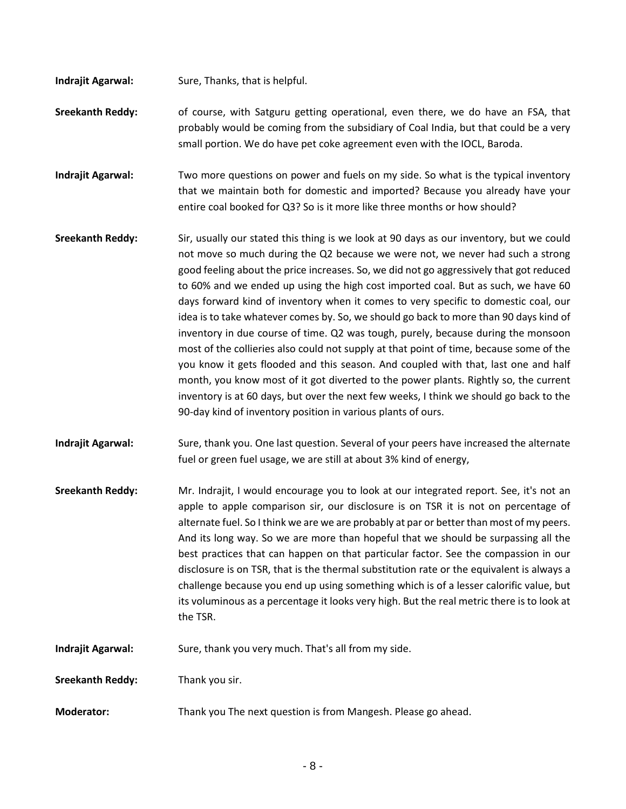- **Indrajit Agarwal:** Sure, Thanks, that is helpful.
- **Sreekanth Reddy:** of course, with Satguru getting operational, even there, we do have an FSA, that probably would be coming from the subsidiary of Coal India, but that could be a very small portion. We do have pet coke agreement even with the IOCL, Baroda.
- **Indrajit Agarwal:** Two more questions on power and fuels on my side. So what is the typical inventory that we maintain both for domestic and imported? Because you already have your entire coal booked for Q3? So is it more like three months or how should?
- **Sreekanth Reddy:** Sir, usually our stated this thing is we look at 90 days as our inventory, but we could not move so much during the Q2 because we were not, we never had such a strong good feeling about the price increases. So, we did not go aggressively that got reduced to 60% and we ended up using the high cost imported coal. But as such, we have 60 days forward kind of inventory when it comes to very specific to domestic coal, our idea is to take whatever comes by. So, we should go back to more than 90 days kind of inventory in due course of time. Q2 was tough, purely, because during the monsoon most of the collieries also could not supply at that point of time, because some of the you know it gets flooded and this season. And coupled with that, last one and half month, you know most of it got diverted to the power plants. Rightly so, the current inventory is at 60 days, but over the next few weeks, I think we should go back to the 90-day kind of inventory position in various plants of ours.
- **Indrajit Agarwal:** Sure, thank you. One last question. Several of your peers have increased the alternate fuel or green fuel usage, we are still at about 3% kind of energy,
- **Sreekanth Reddy:** Mr. Indrajit, I would encourage you to look at our integrated report. See, it's not an apple to apple comparison sir, our disclosure is on TSR it is not on percentage of alternate fuel. So I think we are we are probably at par or better than most of my peers. And its long way. So we are more than hopeful that we should be surpassing all the best practices that can happen on that particular factor. See the compassion in our disclosure is on TSR, that is the thermal substitution rate or the equivalent is always a challenge because you end up using something which is of a lesser calorific value, but its voluminous as a percentage it looks very high. But the real metric there is to look at the TSR.
- **Indrajit Agarwal:** Sure, thank you very much. That's all from my side.
- **Sreekanth Reddy:** Thank you sir.
- **Moderator:** Thank you The next question is from Mangesh. Please go ahead.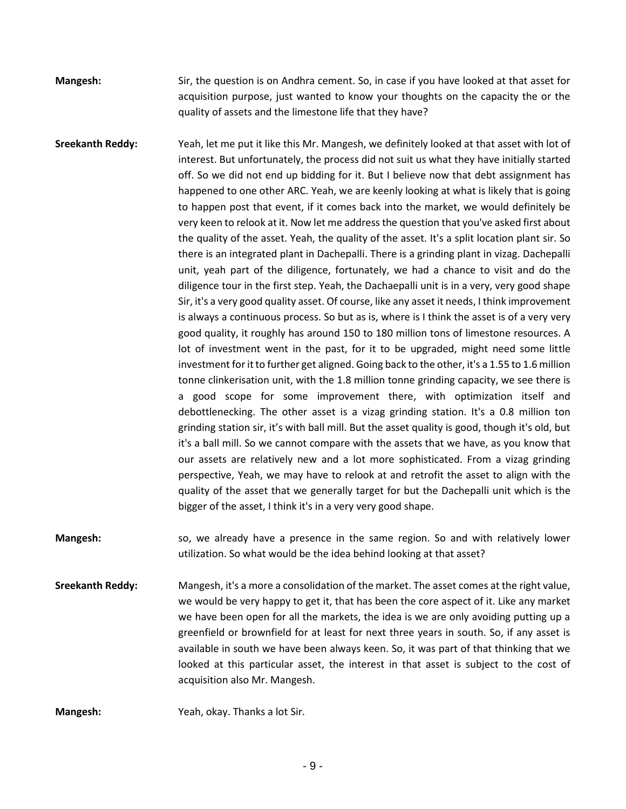**Mangesh:** Sir, the question is on Andhra cement. So, in case if you have looked at that asset for acquisition purpose, just wanted to know your thoughts on the capacity the or the quality of assets and the limestone life that they have?

**Sreekanth Reddy:** Yeah, let me put it like this Mr. Mangesh, we definitely looked at that asset with lot of interest. But unfortunately, the process did not suit us what they have initially started off. So we did not end up bidding for it. But I believe now that debt assignment has happened to one other ARC. Yeah, we are keenly looking at what is likely that is going to happen post that event, if it comes back into the market, we would definitely be very keen to relook at it. Now let me address the question that you've asked first about the quality of the asset. Yeah, the quality of the asset. It's a split location plant sir. So there is an integrated plant in Dachepalli. There is a grinding plant in vizag. Dachepalli unit, yeah part of the diligence, fortunately, we had a chance to visit and do the diligence tour in the first step. Yeah, the Dachaepalli unit is in a very, very good shape Sir, it's a very good quality asset. Of course, like any asset it needs, I think improvement is always a continuous process. So but as is, where is I think the asset is of a very very good quality, it roughly has around 150 to 180 million tons of limestone resources. A lot of investment went in the past, for it to be upgraded, might need some little investment for it to further get aligned. Going back to the other, it's a 1.55 to 1.6 million tonne clinkerisation unit, with the 1.8 million tonne grinding capacity, we see there is a good scope for some improvement there, with optimization itself and debottlenecking. The other asset is a vizag grinding station. It's a 0.8 million ton grinding station sir, it's with ball mill. But the asset quality is good, though it's old, but it's a ball mill. So we cannot compare with the assets that we have, as you know that our assets are relatively new and a lot more sophisticated. From a vizag grinding perspective, Yeah, we may have to relook at and retrofit the asset to align with the quality of the asset that we generally target for but the Dachepalli unit which is the bigger of the asset, I think it's in a very very good shape.

**Mangesh:** so, we already have a presence in the same region. So and with relatively lower utilization. So what would be the idea behind looking at that asset?

**Sreekanth Reddy:** Mangesh, it's a more a consolidation of the market. The asset comes at the right value, we would be very happy to get it, that has been the core aspect of it. Like any market we have been open for all the markets, the idea is we are only avoiding putting up a greenfield or brownfield for at least for next three years in south. So, if any asset is available in south we have been always keen. So, it was part of that thinking that we looked at this particular asset, the interest in that asset is subject to the cost of acquisition also Mr. Mangesh.

**Mangesh:** Yeah, okay. Thanks a lot Sir.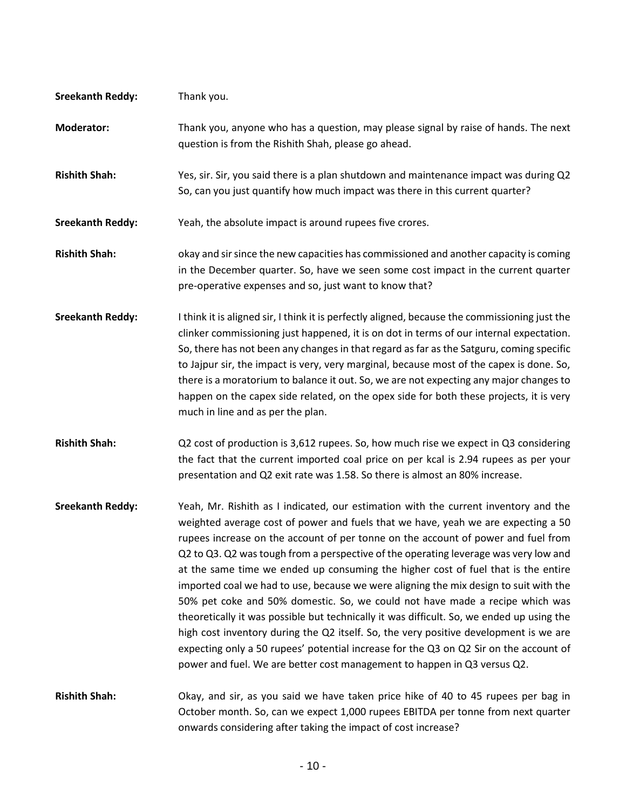| <b>Sreekanth Reddy:</b> | Thank you.                                                                                                                                                                                                                                                                                                                                                                                                                                                                                                                                                                                                                                                                                                                                                                                                                                                                                                                                                                     |
|-------------------------|--------------------------------------------------------------------------------------------------------------------------------------------------------------------------------------------------------------------------------------------------------------------------------------------------------------------------------------------------------------------------------------------------------------------------------------------------------------------------------------------------------------------------------------------------------------------------------------------------------------------------------------------------------------------------------------------------------------------------------------------------------------------------------------------------------------------------------------------------------------------------------------------------------------------------------------------------------------------------------|
| <b>Moderator:</b>       | Thank you, anyone who has a question, may please signal by raise of hands. The next<br>question is from the Rishith Shah, please go ahead.                                                                                                                                                                                                                                                                                                                                                                                                                                                                                                                                                                                                                                                                                                                                                                                                                                     |
| <b>Rishith Shah:</b>    | Yes, sir. Sir, you said there is a plan shutdown and maintenance impact was during Q2<br>So, can you just quantify how much impact was there in this current quarter?                                                                                                                                                                                                                                                                                                                                                                                                                                                                                                                                                                                                                                                                                                                                                                                                          |
| <b>Sreekanth Reddy:</b> | Yeah, the absolute impact is around rupees five crores.                                                                                                                                                                                                                                                                                                                                                                                                                                                                                                                                                                                                                                                                                                                                                                                                                                                                                                                        |
| <b>Rishith Shah:</b>    | okay and sir since the new capacities has commissioned and another capacity is coming<br>in the December quarter. So, have we seen some cost impact in the current quarter<br>pre-operative expenses and so, just want to know that?                                                                                                                                                                                                                                                                                                                                                                                                                                                                                                                                                                                                                                                                                                                                           |
| <b>Sreekanth Reddy:</b> | I think it is aligned sir, I think it is perfectly aligned, because the commissioning just the<br>clinker commissioning just happened, it is on dot in terms of our internal expectation.<br>So, there has not been any changes in that regard as far as the Satguru, coming specific<br>to Jajpur sir, the impact is very, very marginal, because most of the capex is done. So,<br>there is a moratorium to balance it out. So, we are not expecting any major changes to<br>happen on the capex side related, on the opex side for both these projects, it is very<br>much in line and as per the plan.                                                                                                                                                                                                                                                                                                                                                                     |
| <b>Rishith Shah:</b>    | Q2 cost of production is 3,612 rupees. So, how much rise we expect in Q3 considering<br>the fact that the current imported coal price on per kcal is 2.94 rupees as per your<br>presentation and Q2 exit rate was 1.58. So there is almost an 80% increase.                                                                                                                                                                                                                                                                                                                                                                                                                                                                                                                                                                                                                                                                                                                    |
| <b>Sreekanth Reddy:</b> | Yeah, Mr. Rishith as I indicated, our estimation with the current inventory and the<br>weighted average cost of power and fuels that we have, yeah we are expecting a 50<br>rupees increase on the account of per tonne on the account of power and fuel from<br>Q2 to Q3. Q2 was tough from a perspective of the operating leverage was very low and<br>at the same time we ended up consuming the higher cost of fuel that is the entire<br>imported coal we had to use, because we were aligning the mix design to suit with the<br>50% pet coke and 50% domestic. So, we could not have made a recipe which was<br>theoretically it was possible but technically it was difficult. So, we ended up using the<br>high cost inventory during the Q2 itself. So, the very positive development is we are<br>expecting only a 50 rupees' potential increase for the Q3 on Q2 Sir on the account of<br>power and fuel. We are better cost management to happen in Q3 versus Q2. |
| <b>Rishith Shah:</b>    | Okay, and sir, as you said we have taken price hike of 40 to 45 rupees per bag in<br>October month. So, can we expect 1,000 rupees EBITDA per tonne from next quarter<br>onwards considering after taking the impact of cost increase?                                                                                                                                                                                                                                                                                                                                                                                                                                                                                                                                                                                                                                                                                                                                         |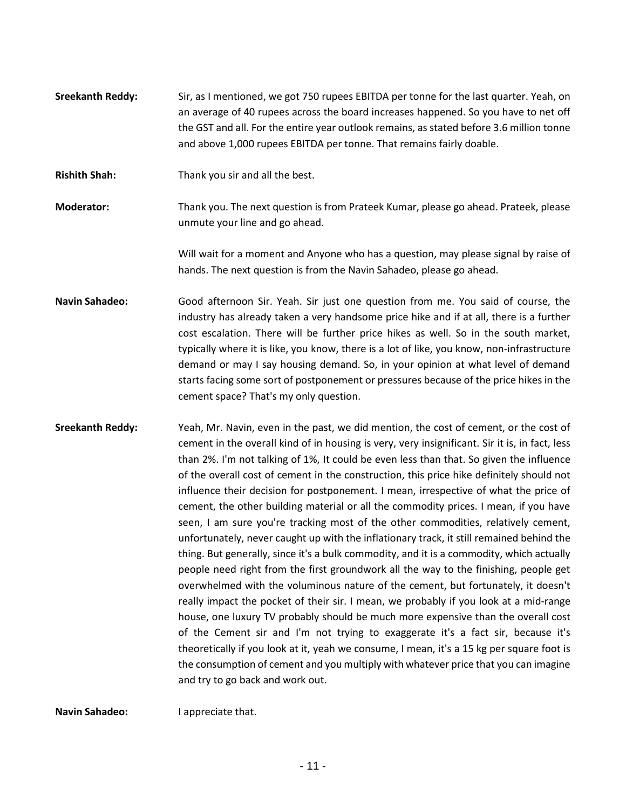- **Sreekanth Reddy:** Sir, as I mentioned, we got 750 rupees EBITDA per tonne for the last quarter. Yeah, on an average of 40 rupees across the board increases happened. So you have to net off the GST and all. For the entire year outlook remains, as stated before 3.6 million tonne and above 1,000 rupees EBITDA per tonne. That remains fairly doable.
- **Rishith Shah:** Thank you sir and all the best.
- **Moderator:** Thank you. The next question is from Prateek Kumar, please go ahead. Prateek, please unmute your line and go ahead.

Will wait for a moment and Anyone who has a question, may please signal by raise of hands. The next question is from the Navin Sahadeo, please go ahead.

- **Navin Sahadeo:** Good afternoon Sir. Yeah. Sir just one question from me. You said of course, the industry has already taken a very handsome price hike and if at all, there is a further cost escalation. There will be further price hikes as well. So in the south market, typically where it is like, you know, there is a lot of like, you know, non-infrastructure demand or may I say housing demand. So, in your opinion at what level of demand starts facing some sort of postponement or pressures because of the price hikes in the cement space? That's my only question.
- **Sreekanth Reddy:** Yeah, Mr. Navin, even in the past, we did mention, the cost of cement, or the cost of cement in the overall kind of in housing is very, very insignificant. Sir it is, in fact, less than 2%. I'm not talking of 1%, It could be even less than that. So given the influence of the overall cost of cement in the construction, this price hike definitely should not influence their decision for postponement. I mean, irrespective of what the price of cement, the other building material or all the commodity prices. I mean, if you have seen, I am sure you're tracking most of the other commodities, relatively cement, unfortunately, never caught up with the inflationary track, it still remained behind the thing. But generally, since it's a bulk commodity, and it is a commodity, which actually people need right from the first groundwork all the way to the finishing, people get overwhelmed with the voluminous nature of the cement, but fortunately, it doesn't really impact the pocket of their sir. I mean, we probably if you look at a mid-range house, one luxury TV probably should be much more expensive than the overall cost of the Cement sir and I'm not trying to exaggerate it's a fact sir, because it's theoretically if you look at it, yeah we consume, I mean, it's a 15 kg per square foot is the consumption of cement and you multiply with whatever price that you can imagine and try to go back and work out.

**Navin Sahadeo:** I appreciate that.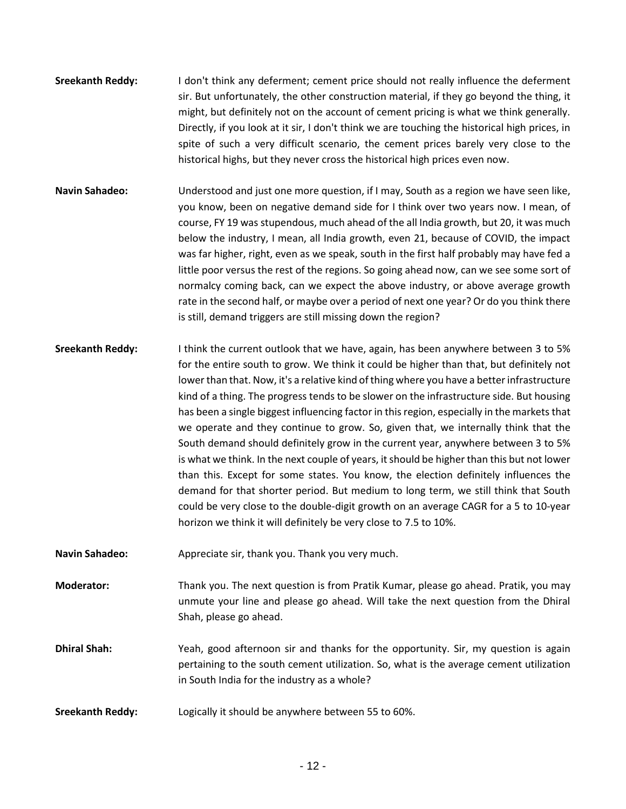- **Sreekanth Reddy:** I don't think any deferment; cement price should not really influence the deferment sir. But unfortunately, the other construction material, if they go beyond the thing, it might, but definitely not on the account of cement pricing is what we think generally. Directly, if you look at it sir, I don't think we are touching the historical high prices, in spite of such a very difficult scenario, the cement prices barely very close to the historical highs, but they never cross the historical high prices even now.
- **Navin Sahadeo:** Understood and just one more question, if I may, South as a region we have seen like, you know, been on negative demand side for I think over two years now. I mean, of course, FY 19 was stupendous, much ahead of the all India growth, but 20, it was much below the industry, I mean, all India growth, even 21, because of COVID, the impact was far higher, right, even as we speak, south in the first half probably may have fed a little poor versus the rest of the regions. So going ahead now, can we see some sort of normalcy coming back, can we expect the above industry, or above average growth rate in the second half, or maybe over a period of next one year? Or do you think there is still, demand triggers are still missing down the region?
- **Sreekanth Reddy:** I think the current outlook that we have, again, has been anywhere between 3 to 5% for the entire south to grow. We think it could be higher than that, but definitely not lower than that. Now, it's a relative kind of thing where you have a better infrastructure kind of a thing. The progress tends to be slower on the infrastructure side. But housing has been a single biggest influencing factor in this region, especially in the markets that we operate and they continue to grow. So, given that, we internally think that the South demand should definitely grow in the current year, anywhere between 3 to 5% is what we think. In the next couple of years, it should be higher than this but not lower than this. Except for some states. You know, the election definitely influences the demand for that shorter period. But medium to long term, we still think that South could be very close to the double-digit growth on an average CAGR for a 5 to 10-year horizon we think it will definitely be very close to 7.5 to 10%.
- Navin Sahadeo: Appreciate sir, thank you. Thank you very much.

**Moderator:** Thank you. The next question is from Pratik Kumar, please go ahead. Pratik, you may unmute your line and please go ahead. Will take the next question from the Dhiral Shah, please go ahead.

**Dhiral Shah:** Yeah, good afternoon sir and thanks for the opportunity. Sir, my question is again pertaining to the south cement utilization. So, what is the average cement utilization in South India for the industry as a whole?

**Sreekanth Reddy:** Logically it should be anywhere between 55 to 60%.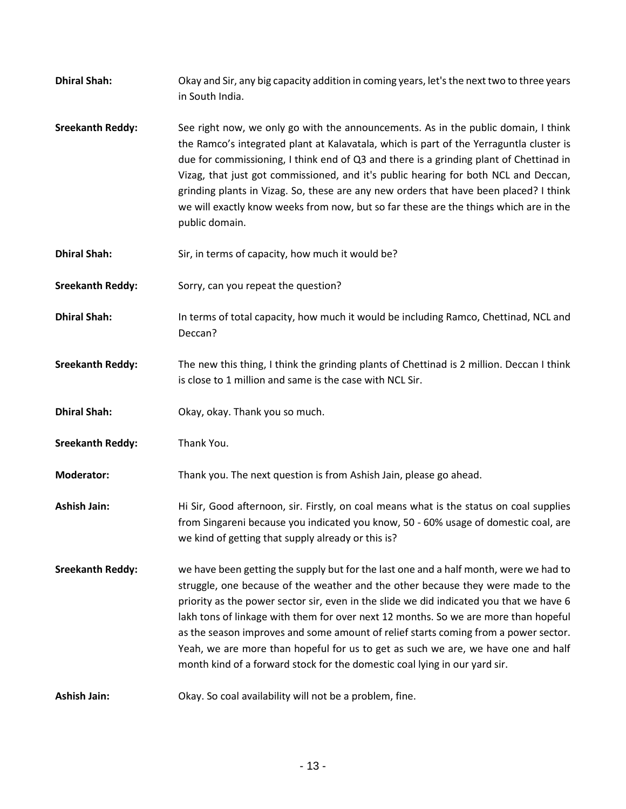| <b>Dhiral Shah:</b>     | Okay and Sir, any big capacity addition in coming years, let's the next two to three years<br>in South India.                                                                                                                                                                                                                                                                                                                                                                                                                                                                                                         |
|-------------------------|-----------------------------------------------------------------------------------------------------------------------------------------------------------------------------------------------------------------------------------------------------------------------------------------------------------------------------------------------------------------------------------------------------------------------------------------------------------------------------------------------------------------------------------------------------------------------------------------------------------------------|
| <b>Sreekanth Reddy:</b> | See right now, we only go with the announcements. As in the public domain, I think<br>the Ramco's integrated plant at Kalavatala, which is part of the Yerraguntla cluster is<br>due for commissioning, I think end of Q3 and there is a grinding plant of Chettinad in<br>Vizag, that just got commissioned, and it's public hearing for both NCL and Deccan,<br>grinding plants in Vizag. So, these are any new orders that have been placed? I think<br>we will exactly know weeks from now, but so far these are the things which are in the<br>public domain.                                                    |
| <b>Dhiral Shah:</b>     | Sir, in terms of capacity, how much it would be?                                                                                                                                                                                                                                                                                                                                                                                                                                                                                                                                                                      |
| <b>Sreekanth Reddy:</b> | Sorry, can you repeat the question?                                                                                                                                                                                                                                                                                                                                                                                                                                                                                                                                                                                   |
| <b>Dhiral Shah:</b>     | In terms of total capacity, how much it would be including Ramco, Chettinad, NCL and<br>Deccan?                                                                                                                                                                                                                                                                                                                                                                                                                                                                                                                       |
| <b>Sreekanth Reddy:</b> | The new this thing, I think the grinding plants of Chettinad is 2 million. Deccan I think<br>is close to 1 million and same is the case with NCL Sir.                                                                                                                                                                                                                                                                                                                                                                                                                                                                 |
| <b>Dhiral Shah:</b>     | Okay, okay. Thank you so much.                                                                                                                                                                                                                                                                                                                                                                                                                                                                                                                                                                                        |
| <b>Sreekanth Reddy:</b> | Thank You.                                                                                                                                                                                                                                                                                                                                                                                                                                                                                                                                                                                                            |
| <b>Moderator:</b>       | Thank you. The next question is from Ashish Jain, please go ahead.                                                                                                                                                                                                                                                                                                                                                                                                                                                                                                                                                    |
| <b>Ashish Jain:</b>     | Hi Sir, Good afternoon, sir. Firstly, on coal means what is the status on coal supplies<br>from Singareni because you indicated you know, 50 - 60% usage of domestic coal, are<br>we kind of getting that supply already or this is?                                                                                                                                                                                                                                                                                                                                                                                  |
| <b>Sreekanth Reddy:</b> | we have been getting the supply but for the last one and a half month, were we had to<br>struggle, one because of the weather and the other because they were made to the<br>priority as the power sector sir, even in the slide we did indicated you that we have 6<br>lakh tons of linkage with them for over next 12 months. So we are more than hopeful<br>as the season improves and some amount of relief starts coming from a power sector.<br>Yeah, we are more than hopeful for us to get as such we are, we have one and half<br>month kind of a forward stock for the domestic coal lying in our yard sir. |
| <b>Ashish Jain:</b>     | Okay. So coal availability will not be a problem, fine.                                                                                                                                                                                                                                                                                                                                                                                                                                                                                                                                                               |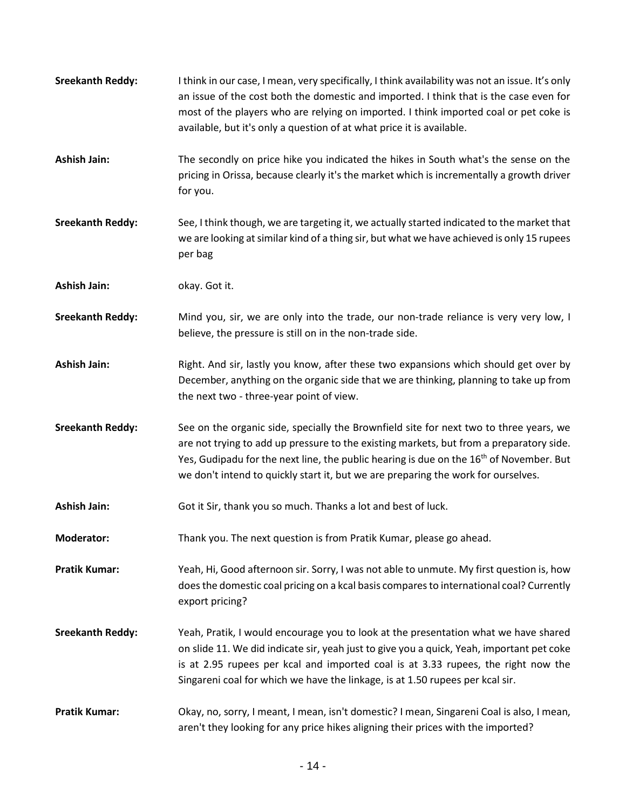| <b>Sreekanth Reddy:</b> | I think in our case, I mean, very specifically, I think availability was not an issue. It's only<br>an issue of the cost both the domestic and imported. I think that is the case even for<br>most of the players who are relying on imported. I think imported coal or pet coke is<br>available, but it's only a question of at what price it is available.                  |
|-------------------------|-------------------------------------------------------------------------------------------------------------------------------------------------------------------------------------------------------------------------------------------------------------------------------------------------------------------------------------------------------------------------------|
| <b>Ashish Jain:</b>     | The secondly on price hike you indicated the hikes in South what's the sense on the<br>pricing in Orissa, because clearly it's the market which is incrementally a growth driver<br>for you.                                                                                                                                                                                  |
| <b>Sreekanth Reddy:</b> | See, I think though, we are targeting it, we actually started indicated to the market that<br>we are looking at similar kind of a thing sir, but what we have achieved is only 15 rupees<br>per bag                                                                                                                                                                           |
| <b>Ashish Jain:</b>     | okay. Got it.                                                                                                                                                                                                                                                                                                                                                                 |
| <b>Sreekanth Reddy:</b> | Mind you, sir, we are only into the trade, our non-trade reliance is very very low, I<br>believe, the pressure is still on in the non-trade side.                                                                                                                                                                                                                             |
| <b>Ashish Jain:</b>     | Right. And sir, lastly you know, after these two expansions which should get over by<br>December, anything on the organic side that we are thinking, planning to take up from<br>the next two - three-year point of view.                                                                                                                                                     |
| <b>Sreekanth Reddy:</b> | See on the organic side, specially the Brownfield site for next two to three years, we<br>are not trying to add up pressure to the existing markets, but from a preparatory side.<br>Yes, Gudipadu for the next line, the public hearing is due on the 16 <sup>th</sup> of November. But<br>we don't intend to quickly start it, but we are preparing the work for ourselves. |
| <b>Ashish Jain:</b>     | Got it Sir, thank you so much. Thanks a lot and best of luck.                                                                                                                                                                                                                                                                                                                 |
| <b>Moderator:</b>       | Thank you. The next question is from Pratik Kumar, please go ahead.                                                                                                                                                                                                                                                                                                           |
| <b>Pratik Kumar:</b>    | Yeah, Hi, Good afternoon sir. Sorry, I was not able to unmute. My first question is, how<br>does the domestic coal pricing on a kcal basis compares to international coal? Currently<br>export pricing?                                                                                                                                                                       |
| <b>Sreekanth Reddy:</b> | Yeah, Pratik, I would encourage you to look at the presentation what we have shared<br>on slide 11. We did indicate sir, yeah just to give you a quick, Yeah, important pet coke<br>is at 2.95 rupees per kcal and imported coal is at 3.33 rupees, the right now the<br>Singareni coal for which we have the linkage, is at 1.50 rupees per kcal sir.                        |
| <b>Pratik Kumar:</b>    | Okay, no, sorry, I meant, I mean, isn't domestic? I mean, Singareni Coal is also, I mean,<br>aren't they looking for any price hikes aligning their prices with the imported?                                                                                                                                                                                                 |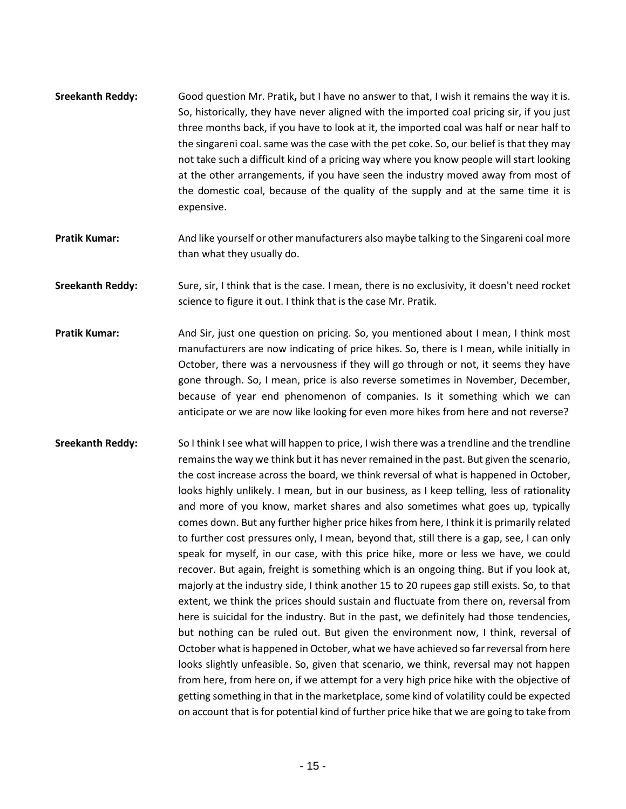- **Sreekanth Reddy:** Good question Mr. Pratik**,** but I have no answer to that, I wish it remains the way it is. So, historically, they have never aligned with the imported coal pricing sir, if you just three months back, if you have to look at it, the imported coal was half or near half to the singareni coal. same was the case with the pet coke. So, our belief is that they may not take such a difficult kind of a pricing way where you know people will start looking at the other arrangements, if you have seen the industry moved away from most of the domestic coal, because of the quality of the supply and at the same time it is expensive.
- **Pratik Kumar:** And like yourself or other manufacturers also maybe talking to the Singareni coal more than what they usually do.
- **Sreekanth Reddy:** Sure, sir, I think that is the case. I mean, there is no exclusivity, it doesn't need rocket science to figure it out. I think that is the case Mr. Pratik.
- **Pratik Kumar:** And Sir, just one question on pricing. So, you mentioned about I mean, I think most manufacturers are now indicating of price hikes. So, there is I mean, while initially in October, there was a nervousness if they will go through or not, it seems they have gone through. So, I mean, price is also reverse sometimes in November, December, because of year end phenomenon of companies. Is it something which we can anticipate or we are now like looking for even more hikes from here and not reverse?
- **Sreekanth Reddy:** So I think I see what will happen to price, I wish there was a trendline and the trendline remains the way we think but it has never remained in the past. But given the scenario, the cost increase across the board, we think reversal of what is happened in October, looks highly unlikely. I mean, but in our business, as I keep telling, less of rationality and more of you know, market shares and also sometimes what goes up, typically comes down. But any further higher price hikes from here, I think it is primarily related to further cost pressures only, I mean, beyond that, still there is a gap, see, I can only speak for myself, in our case, with this price hike, more or less we have, we could recover. But again, freight is something which is an ongoing thing. But if you look at, majorly at the industry side, I think another 15 to 20 rupees gap still exists. So, to that extent, we think the prices should sustain and fluctuate from there on, reversal from here is suicidal for the industry. But in the past, we definitely had those tendencies, but nothing can be ruled out. But given the environment now, I think, reversal of October what is happened in October, what we have achieved so far reversal from here looks slightly unfeasible. So, given that scenario, we think, reversal may not happen from here, from here on, if we attempt for a very high price hike with the objective of getting something in that in the marketplace, some kind of volatility could be expected on account that is for potential kind of further price hike that we are going to take from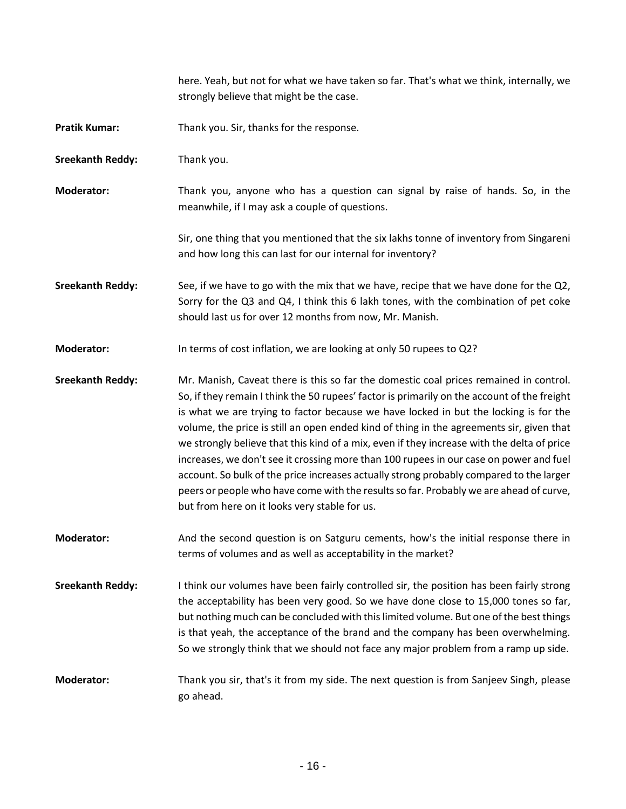**Pratik Kumar:** Thank you. Sir, thanks for the response. **Sreekanth Reddy:** Thank you. **Moderator:** Thank you, anyone who has a question can signal by raise of hands. So, in the meanwhile, if I may ask a couple of questions. Sir, one thing that you mentioned that the six lakhs tonne of inventory from Singareni and how long this can last for our internal for inventory? **Sreekanth Reddy:** See, if we have to go with the mix that we have, recipe that we have done for the Q2, Sorry for the Q3 and Q4, I think this 6 lakh tones, with the combination of pet coke should last us for over 12 months from now, Mr. Manish. **Moderator:** In terms of cost inflation, we are looking at only 50 rupees to Q2? **Sreekanth Reddy:** Mr. Manish, Caveat there is this so far the domestic coal prices remained in control. So, if they remain I think the 50 rupees' factor is primarily on the account of the freight is what we are trying to factor because we have locked in but the locking is for the volume, the price is still an open ended kind of thing in the agreements sir, given that we strongly believe that this kind of a mix, even if they increase with the delta of price increases, we don't see it crossing more than 100 rupees in our case on power and fuel account. So bulk of the price increases actually strong probably compared to the larger peers or people who have come with the results so far. Probably we are ahead of curve, but from here on it looks very stable for us. **Moderator:** And the second question is on Satguru cements, how's the initial response there in terms of volumes and as well as acceptability in the market? **Sreekanth Reddy:** I think our volumes have been fairly controlled sir, the position has been fairly strong the acceptability has been very good. So we have done close to 15,000 tones so far, but nothing much can be concluded with this limited volume. But one of the best things is that yeah, the acceptance of the brand and the company has been overwhelming. So we strongly think that we should not face any major problem from a ramp up side. **Moderator:** Thank you sir, that's it from my side. The next question is from Sanjeev Singh, please go ahead.

here. Yeah, but not for what we have taken so far. That's what we think, internally, we

strongly believe that might be the case.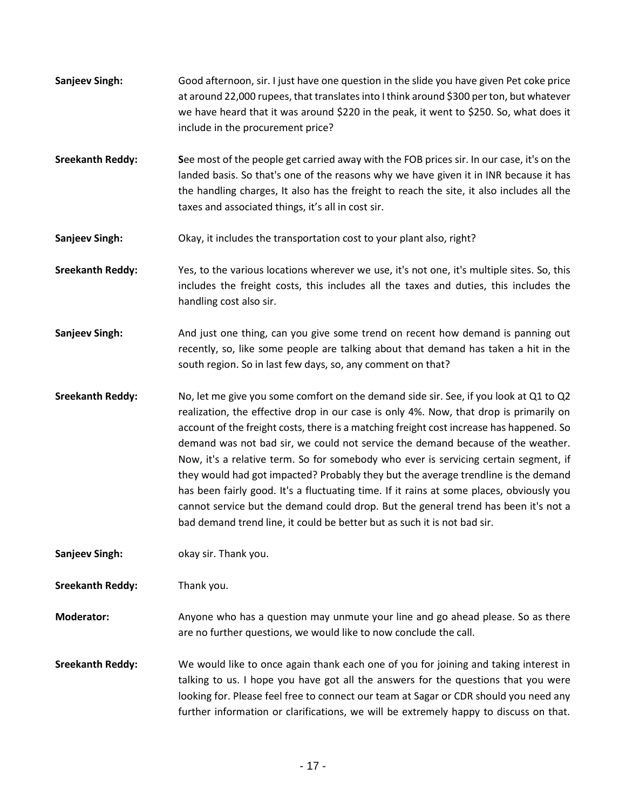- **Sanjeev Singh:** Good afternoon, sir. I just have one question in the slide you have given Pet coke price at around 22,000 rupees, that translates into I think around \$300 per ton, but whatever we have heard that it was around \$220 in the peak, it went to \$250. So, what does it include in the procurement price?
- **Sreekanth Reddy:** See most of the people get carried away with the FOB prices sir. In our case, it's on the landed basis. So that's one of the reasons why we have given it in INR because it has the handling charges, It also has the freight to reach the site, it also includes all the taxes and associated things, it's all in cost sir.
- **Sanjeev Singh:** Okay, it includes the transportation cost to your plant also, right?
- **Sreekanth Reddy:** Yes, to the various locations wherever we use, it's not one, it's multiple sites. So, this includes the freight costs, this includes all the taxes and duties, this includes the handling cost also sir.
- **Sanjeev Singh:** And just one thing, can you give some trend on recent how demand is panning out recently, so, like some people are talking about that demand has taken a hit in the south region. So in last few days, so, any comment on that?
- **Sreekanth Reddy:** No, let me give you some comfort on the demand side sir. See, if you look at Q1 to Q2 realization, the effective drop in our case is only 4%. Now, that drop is primarily on account of the freight costs, there is a matching freight cost increase has happened. So demand was not bad sir, we could not service the demand because of the weather. Now, it's a relative term. So for somebody who ever is servicing certain segment, if they would had got impacted? Probably they but the average trendline is the demand has been fairly good. It's a fluctuating time. If it rains at some places, obviously you cannot service but the demand could drop. But the general trend has been it's not a bad demand trend line, it could be better but as such it is not bad sir.

**Sanjeev Singh:** okay sir. Thank you.

**Sreekanth Reddy:** Thank you.

- **Moderator:** Anyone who has a question may unmute your line and go ahead please. So as there are no further questions, we would like to now conclude the call.
- **Sreekanth Reddy:** We would like to once again thank each one of you for joining and taking interest in talking to us. I hope you have got all the answers for the questions that you were looking for. Please feel free to connect our team at Sagar or CDR should you need any further information or clarifications, we will be extremely happy to discuss on that.